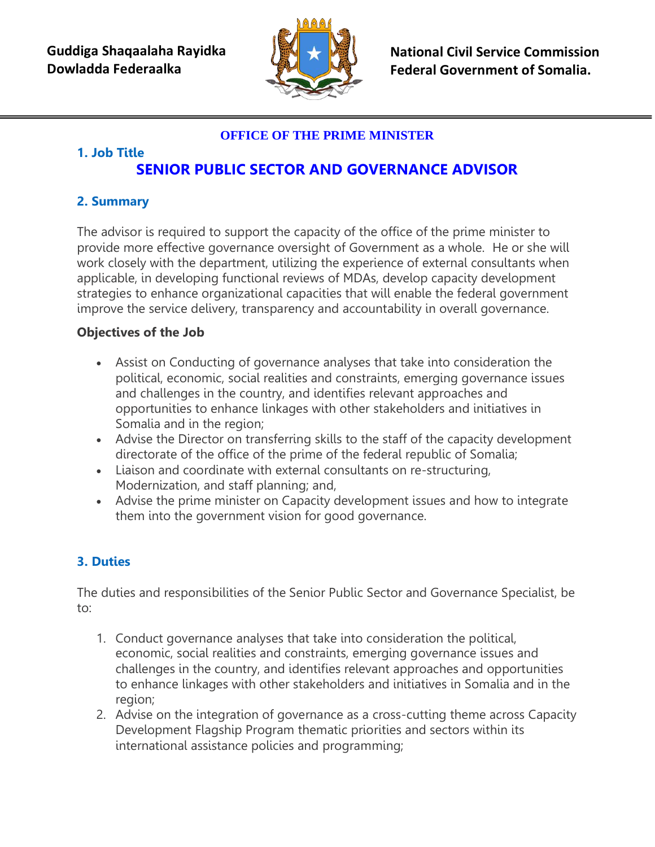

**National Civil Service Commission Federal Government of Somalia.** 

## **OFFICE OF THE PRIME MINISTER**

#### **1. Job Title SENIOR PUBLIC SECTOR AND GOVERNANCE ADVISOR**

# **2. Summary**

The advisor is required to support the capacity of the office of the prime minister to provide more effective governance oversight of Government as a whole. He or she will work closely with the department, utilizing the experience of external consultants when applicable, in developing functional reviews of MDAs, develop capacity development strategies to enhance organizational capacities that will enable the federal government improve the service delivery, transparency and accountability in overall governance.

### **Objectives of the Job**

- Assist on Conducting of governance analyses that take into consideration the political, economic, social realities and constraints, emerging governance issues and challenges in the country, and identifies relevant approaches and opportunities to enhance linkages with other stakeholders and initiatives in Somalia and in the region;
- Advise the Director on transferring skills to the staff of the capacity development directorate of the office of the prime of the federal republic of Somalia;
- Liaison and coordinate with external consultants on re-structuring, Modernization, and staff planning; and,
- Advise the prime minister on Capacity development issues and how to integrate them into the government vision for good governance.

# **3. Duties**

The duties and responsibilities of the Senior Public Sector and Governance Specialist, be to:

- 1. Conduct governance analyses that take into consideration the political, economic, social realities and constraints, emerging governance issues and challenges in the country, and identifies relevant approaches and opportunities to enhance linkages with other stakeholders and initiatives in Somalia and in the region;
- 2. Advise on the integration of governance as a cross-cutting theme across Capacity Development Flagship Program thematic priorities and sectors within its international assistance policies and programming;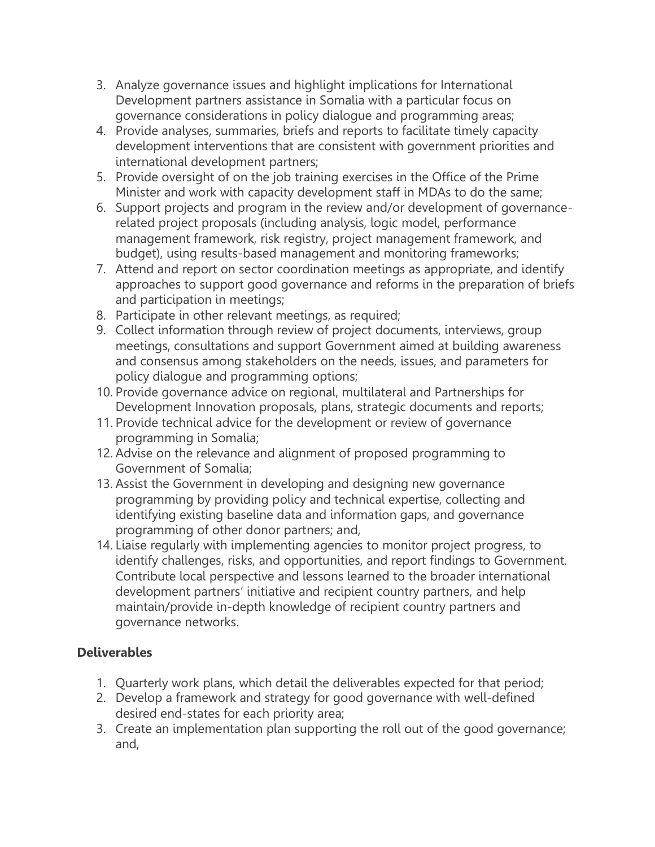- 3. Analyze governance issues and highlight implications for International Development partners assistance in Somalia with a particular focus on governance considerations in policy dialogue and programming areas;
- 4. Provide analyses, summaries, briefs and reports to facilitate timely capacity development interventions that are consistent with government priorities and international development partners;
- 5. Provide oversight of on the job training exercises in the Office of the Prime Minister and work with capacity development staff in MDAs to do the same;
- 6. Support projects and program in the review and/or development of governancerelated project proposals (including analysis, logic model, performance management framework, risk registry, project management framework, and budget), using results-based management and monitoring frameworks;
- 7. Attend and report on sector coordination meetings as appropriate, and identify approaches to support good governance and reforms in the preparation of briefs and participation in meetings;
- 8. Participate in other relevant meetings, as required;
- 9. Collect information through review of project documents, interviews, group meetings, consultations and support Government aimed at building awareness and consensus among stakeholders on the needs, issues, and parameters for policy dialogue and programming options;
- 10. Provide governance advice on regional, multilateral and Partnerships for Development Innovation proposals, plans, strategic documents and reports;
- 11. Provide technical advice for the development or review of governance programming in Somalia;
- 12. Advise on the relevance and alignment of proposed programming to Government of Somalia;
- 13. Assist the Government in developing and designing new governance programming by providing policy and technical expertise, collecting and identifying existing baseline data and information gaps, and governance programming of other donor partners; and,
- 14. Liaise regularly with implementing agencies to monitor project progress, to identify challenges, risks, and opportunities, and report findings to Government. Contribute local perspective and lessons learned to the broader international development partners' initiative and recipient country partners, and help maintain/provide in-depth knowledge of recipient country partners and governance networks.

### **Deliverables**

- 1. Quarterly work plans, which detail the deliverables expected for that period;
- 2. Develop a framework and strategy for good governance with well-defined desired end-states for each priority area;
- 3. Create an implementation plan supporting the roll out of the good governance; and,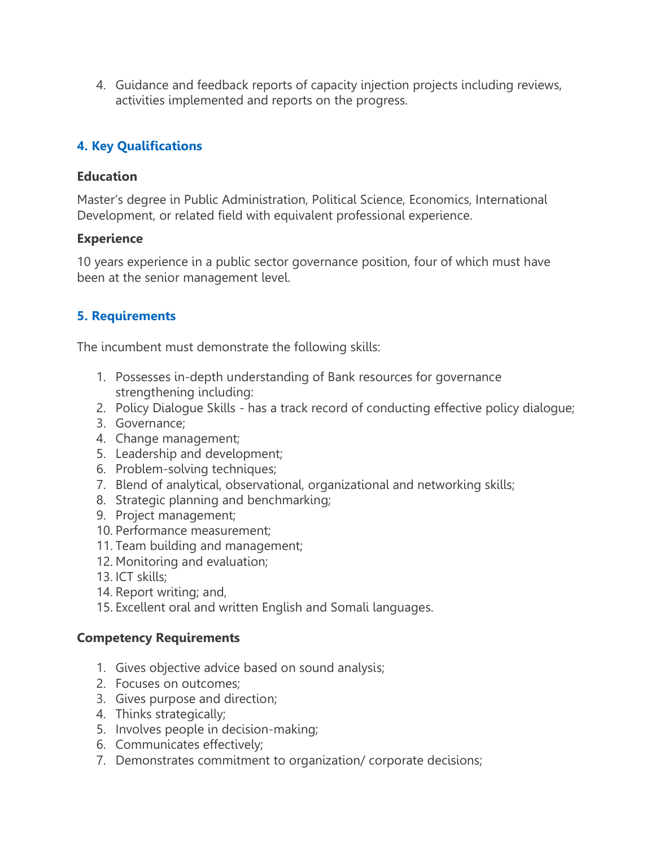4. Guidance and feedback reports of capacity injection projects including reviews, activities implemented and reports on the progress.

# **4. Key Qualifications**

#### **Education**

Master's degree in Public Administration, Political Science, Economics, International Development, or related field with equivalent professional experience.

#### **Experience**

10 years experience in a public sector governance position, four of which must have been at the senior management level.

# **5. Requirements**

The incumbent must demonstrate the following skills:

- 1. Possesses in-depth understanding of Bank resources for governance strengthening including:
- 2. Policy Dialogue Skills has a track record of conducting effective policy dialogue;
- 3. Governance;
- 4. Change management;
- 5. Leadership and development;
- 6. Problem-solving techniques;
- 7. Blend of analytical, observational, organizational and networking skills;
- 8. Strategic planning and benchmarking;
- 9. Project management;
- 10. Performance measurement;
- 11. Team building and management;
- 12. Monitoring and evaluation;
- 13. ICT skills;
- 14. Report writing; and,
- 15. Excellent oral and written English and Somali languages.

### **Competency Requirements**

- 1. Gives objective advice based on sound analysis;
- 2. Focuses on outcomes;
- 3. Gives purpose and direction;
- 4. Thinks strategically;
- 5. Involves people in decision-making;
- 6. Communicates effectively;
- 7. Demonstrates commitment to organization/ corporate decisions;